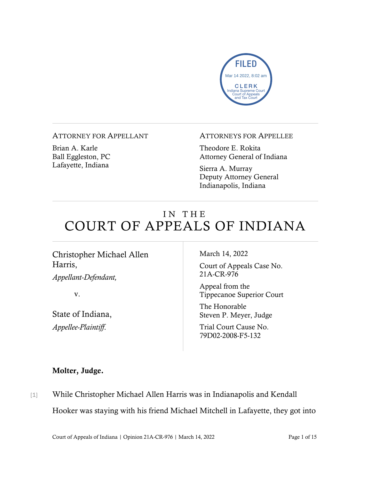

ATTORNEY FOR APPELLANT

Brian A. Karle Ball Eggleston, PC Lafayette, Indiana

#### ATTORNEYS FOR APPELLEE

Theodore E. Rokita Attorney General of Indiana

Sierra A. Murray Deputy Attorney General Indianapolis, Indiana

# IN THE COURT OF APPEALS OF INDIANA

## Christopher Michael Allen Harris,

*Appellant-Defendant,*

v.

State of Indiana, *Appellee-Plaintiff*.

March 14, 2022

Court of Appeals Case No. 21A-CR-976

Appeal from the Tippecanoe Superior Court

The Honorable Steven P. Meyer, Judge

Trial Court Cause No. 79D02-2008-F5-132

#### Molter, Judge.

[1] While Christopher Michael Allen Harris was in Indianapolis and Kendall Hooker was staying with his friend Michael Mitchell in Lafayette, they got into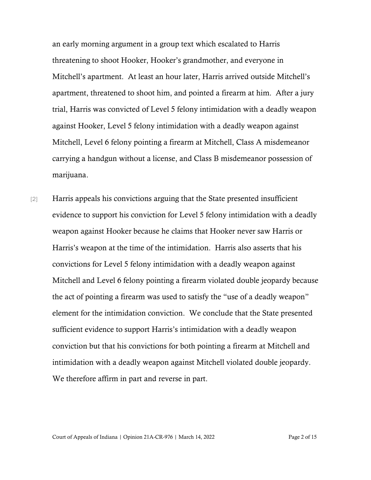an early morning argument in a group text which escalated to Harris threatening to shoot Hooker, Hooker's grandmother, and everyone in Mitchell's apartment. At least an hour later, Harris arrived outside Mitchell's apartment, threatened to shoot him, and pointed a firearm at him. After a jury trial, Harris was convicted of Level 5 felony intimidation with a deadly weapon against Hooker, Level 5 felony intimidation with a deadly weapon against Mitchell, Level 6 felony pointing a firearm at Mitchell, Class A misdemeanor carrying a handgun without a license, and Class B misdemeanor possession of marijuana.

[2] Harris appeals his convictions arguing that the State presented insufficient evidence to support his conviction for Level 5 felony intimidation with a deadly weapon against Hooker because he claims that Hooker never saw Harris or Harris's weapon at the time of the intimidation. Harris also asserts that his convictions for Level 5 felony intimidation with a deadly weapon against Mitchell and Level 6 felony pointing a firearm violated double jeopardy because the act of pointing a firearm was used to satisfy the "use of a deadly weapon" element for the intimidation conviction. We conclude that the State presented sufficient evidence to support Harris's intimidation with a deadly weapon conviction but that his convictions for both pointing a firearm at Mitchell and intimidation with a deadly weapon against Mitchell violated double jeopardy. We therefore affirm in part and reverse in part.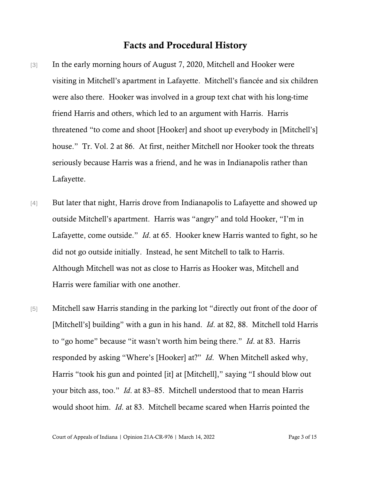#### Facts and Procedural History

- [3] In the early morning hours of August 7, 2020, Mitchell and Hooker were visiting in Mitchell's apartment in Lafayette. Mitchell's fiancée and six children were also there. Hooker was involved in a group text chat with his long-time friend Harris and others, which led to an argument with Harris. Harris threatened "to come and shoot [Hooker] and shoot up everybody in [Mitchell's] house." Tr. Vol. 2 at 86. At first, neither Mitchell nor Hooker took the threats seriously because Harris was a friend, and he was in Indianapolis rather than Lafayette.
- [4] But later that night, Harris drove from Indianapolis to Lafayette and showed up outside Mitchell's apartment. Harris was "angry" and told Hooker, "I'm in Lafayette, come outside." *Id*. at 65. Hooker knew Harris wanted to fight, so he did not go outside initially. Instead, he sent Mitchell to talk to Harris. Although Mitchell was not as close to Harris as Hooker was, Mitchell and Harris were familiar with one another.
- [5] Mitchell saw Harris standing in the parking lot "directly out front of the door of [Mitchell's] building" with a gun in his hand. *Id*. at 82, 88. Mitchell told Harris to "go home" because "it wasn't worth him being there." *Id*. at 83. Harris responded by asking "Where's [Hooker] at?" *Id*. When Mitchell asked why, Harris "took his gun and pointed [it] at [Mitchell]," saying "I should blow out your bitch ass, too." *Id*. at 83–85. Mitchell understood that to mean Harris would shoot him. *Id*. at 83. Mitchell became scared when Harris pointed the

Court of Appeals of Indiana | Opinion 21A-CR-976 | March 14, 2022 Page 3 of 15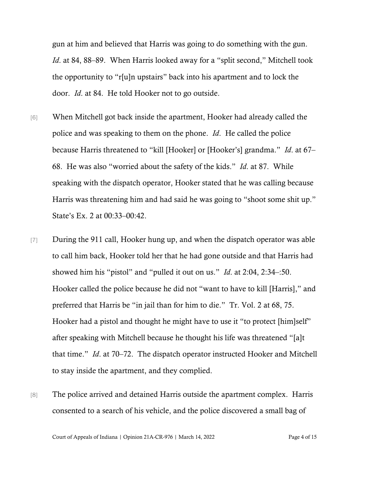gun at him and believed that Harris was going to do something with the gun. *Id*. at 84, 88–89. When Harris looked away for a "split second," Mitchell took the opportunity to "r[u]n upstairs" back into his apartment and to lock the door. *Id*. at 84. He told Hooker not to go outside.

- [6] When Mitchell got back inside the apartment, Hooker had already called the police and was speaking to them on the phone. *Id*. He called the police because Harris threatened to "kill [Hooker] or [Hooker's] grandma." *Id*. at 67– 68. He was also "worried about the safety of the kids." *Id*. at 87. While speaking with the dispatch operator, Hooker stated that he was calling because Harris was threatening him and had said he was going to "shoot some shit up." State's Ex. 2 at 00:33–00:42.
- [7] During the 911 call, Hooker hung up, and when the dispatch operator was able to call him back, Hooker told her that he had gone outside and that Harris had showed him his "pistol" and "pulled it out on us." *Id*. at 2:04, 2:34–:50. Hooker called the police because he did not "want to have to kill [Harris]," and preferred that Harris be "in jail than for him to die." Tr. Vol. 2 at 68, 75. Hooker had a pistol and thought he might have to use it "to protect [him]self" after speaking with Mitchell because he thought his life was threatened "[a]t that time." *Id*. at 70–72. The dispatch operator instructed Hooker and Mitchell to stay inside the apartment, and they complied.
- [8] The police arrived and detained Harris outside the apartment complex. Harris consented to a search of his vehicle, and the police discovered a small bag of

Court of Appeals of Indiana | Opinion 21A-CR-976 | March 14, 2022 Page 4 of 15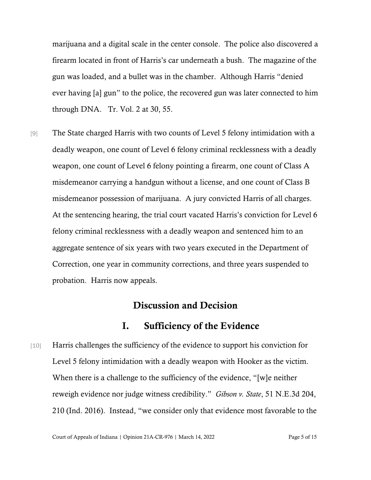marijuana and a digital scale in the center console. The police also discovered a firearm located in front of Harris's car underneath a bush. The magazine of the gun was loaded, and a bullet was in the chamber. Although Harris "denied ever having [a] gun" to the police, the recovered gun was later connected to him through DNA. Tr. Vol. 2 at 30, 55.

[9] The State charged Harris with two counts of Level 5 felony intimidation with a deadly weapon, one count of Level 6 felony criminal recklessness with a deadly weapon, one count of Level 6 felony pointing a firearm, one count of Class A misdemeanor carrying a handgun without a license, and one count of Class B misdemeanor possession of marijuana. A jury convicted Harris of all charges. At the sentencing hearing, the trial court vacated Harris's conviction for Level 6 felony criminal recklessness with a deadly weapon and sentenced him to an aggregate sentence of six years with two years executed in the Department of Correction, one year in community corrections, and three years suspended to probation. Harris now appeals.

### Discussion and Decision

#### I. Sufficiency of the Evidence

[10] Harris challenges the sufficiency of the evidence to support his conviction for Level 5 felony intimidation with a deadly weapon with Hooker as the victim. When there is a challenge to the sufficiency of the evidence, "[w]e neither reweigh evidence nor judge witness credibility." *Gibson v. State*, 51 N.E.3d 204, 210 (Ind. 2016). Instead, "we consider only that evidence most favorable to the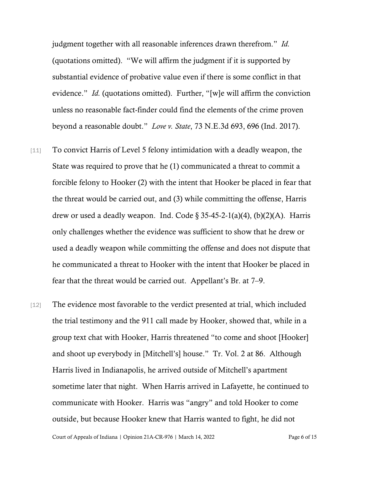judgment together with all reasonable inferences drawn therefrom." *Id.* (quotations omitted). "We will affirm the judgment if it is supported by substantial evidence of probative value even if there is some conflict in that evidence." *Id.* (quotations omitted). Further, "[w]e will affirm the conviction unless no reasonable fact-finder could find the elements of the crime proven beyond a reasonable doubt." *Love v. State*, 73 N.E.3d 693, 696 (Ind. 2017).

- [11] To convict Harris of Level 5 felony intimidation with a deadly weapon, the State was required to prove that he (1) communicated a threat to commit a forcible felony to Hooker (2) with the intent that Hooker be placed in fear that the threat would be carried out, and (3) while committing the offense, Harris drew or used a deadly weapon. Ind. Code  $\S 35-45-2-1(a)(4)$ , (b)(2)(A). Harris only challenges whether the evidence was sufficient to show that he drew or used a deadly weapon while committing the offense and does not dispute that he communicated a threat to Hooker with the intent that Hooker be placed in fear that the threat would be carried out. Appellant's Br. at 7–9.
- [12] The evidence most favorable to the verdict presented at trial, which included the trial testimony and the 911 call made by Hooker, showed that, while in a group text chat with Hooker, Harris threatened "to come and shoot [Hooker] and shoot up everybody in [Mitchell's] house." Tr. Vol. 2 at 86. Although Harris lived in Indianapolis, he arrived outside of Mitchell's apartment sometime later that night. When Harris arrived in Lafayette, he continued to communicate with Hooker. Harris was "angry" and told Hooker to come outside, but because Hooker knew that Harris wanted to fight, he did not

Court of Appeals of Indiana | Opinion 21A-CR-976 | March 14, 2022 Page 6 of 15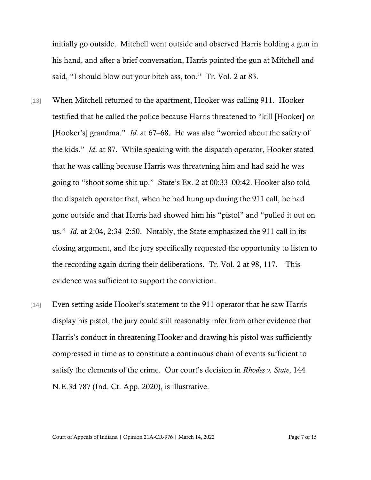initially go outside. Mitchell went outside and observed Harris holding a gun in his hand, and after a brief conversation, Harris pointed the gun at Mitchell and said, "I should blow out your bitch ass, too." Tr. Vol. 2 at 83.

- [13] When Mitchell returned to the apartment, Hooker was calling 911. Hooker testified that he called the police because Harris threatened to "kill [Hooker] or [Hooker's] grandma." *Id.* at 67–68. He was also "worried about the safety of the kids." *Id*. at 87. While speaking with the dispatch operator, Hooker stated that he was calling because Harris was threatening him and had said he was going to "shoot some shit up." State's Ex. 2 at 00:33–00:42. Hooker also told the dispatch operator that, when he had hung up during the 911 call, he had gone outside and that Harris had showed him his "pistol" and "pulled it out on us." *Id*. at 2:04, 2:34–2:50. Notably, the State emphasized the 911 call in its closing argument, and the jury specifically requested the opportunity to listen to the recording again during their deliberations. Tr. Vol. 2 at 98, 117. This evidence was sufficient to support the conviction.
- [14] Even setting aside Hooker's statement to the 911 operator that he saw Harris display his pistol, the jury could still reasonably infer from other evidence that Harris's conduct in threatening Hooker and drawing his pistol was sufficiently compressed in time as to constitute a continuous chain of events sufficient to satisfy the elements of the crime. Our court's decision in *Rhodes v. State*, 144 N.E.3d 787 (Ind. Ct. App. 2020), is illustrative.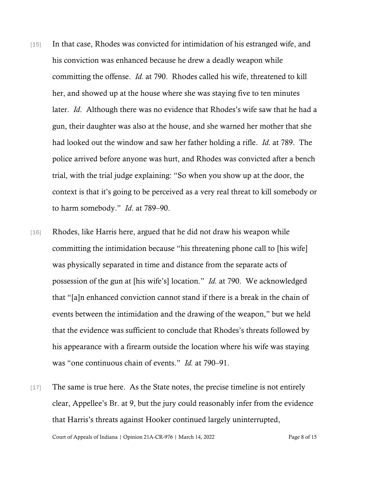- [15] In that case, Rhodes was convicted for intimidation of his estranged wife, and his conviction was enhanced because he drew a deadly weapon while committing the offense. *Id.* at 790. Rhodes called his wife, threatened to kill her, and showed up at the house where she was staying five to ten minutes later. *Id*. Although there was no evidence that Rhodes's wife saw that he had a gun, their daughter was also at the house, and she warned her mother that she had looked out the window and saw her father holding a rifle. *Id.* at 789. The police arrived before anyone was hurt, and Rhodes was convicted after a bench trial, with the trial judge explaining: "So when you show up at the door, the context is that it's going to be perceived as a very real threat to kill somebody or to harm somebody." *Id*. at 789–90.
- [16] Rhodes, like Harris here, argued that he did not draw his weapon while committing the intimidation because "his threatening phone call to [his wife] was physically separated in time and distance from the separate acts of possession of the gun at [his wife's] location." *Id.* at 790. We acknowledged that "[a]n enhanced conviction cannot stand if there is a break in the chain of events between the intimidation and the drawing of the weapon," but we held that the evidence was sufficient to conclude that Rhodes's threats followed by his appearance with a firearm outside the location where his wife was staying was "one continuous chain of events." *Id.* at 790–91.
- [17] The same is true here. As the State notes, the precise timeline is not entirely clear, Appellee's Br. at 9, but the jury could reasonably infer from the evidence that Harris's threats against Hooker continued largely uninterrupted,

Court of Appeals of Indiana | Opinion 21A-CR-976 | March 14, 2022 Page 8 of 15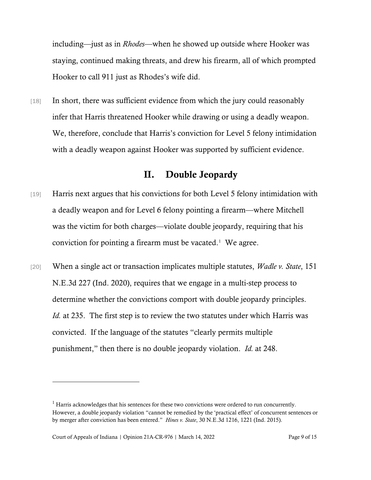including—just as in *Rhodes*—when he showed up outside where Hooker was staying, continued making threats, and drew his firearm, all of which prompted Hooker to call 911 just as Rhodes's wife did.

[18] In short, there was sufficient evidence from which the jury could reasonably infer that Harris threatened Hooker while drawing or using a deadly weapon. We, therefore, conclude that Harris's conviction for Level 5 felony intimidation with a deadly weapon against Hooker was supported by sufficient evidence.

#### II. Double Jeopardy

- [19] Harris next argues that his convictions for both Level 5 felony intimidation with a deadly weapon and for Level 6 felony pointing a firearm—where Mitchell was the victim for both charges—violate double jeopardy, requiring that his conviction for pointing a firearm must be vacated. $<sup>1</sup>$  $<sup>1</sup>$  $<sup>1</sup>$  We agree.</sup>
- [20] When a single act or transaction implicates multiple statutes, *Wadle v. State*, 151 N.E.3d 227 (Ind. 2020), requires that we engage in a multi-step process to determine whether the convictions comport with double jeopardy principles. *Id.* at 235. The first step is to review the two statutes under which Harris was convicted. If the language of the statutes "clearly permits multiple punishment," then there is no double jeopardy violation. *Id.* at 248.

<span id="page-8-0"></span> $<sup>1</sup>$  Harris acknowledges that his sentences for these two convictions were ordered to run concurrently.</sup> However, a double jeopardy violation "cannot be remedied by the 'practical effect' of concurrent sentences or by merger after conviction has been entered." *Hines v. State*, 30 N.E.3d 1216, 1221 (Ind. 2015).

Court of Appeals of Indiana | Opinion 21A-CR-976 | March 14, 2022 Page 9 of 15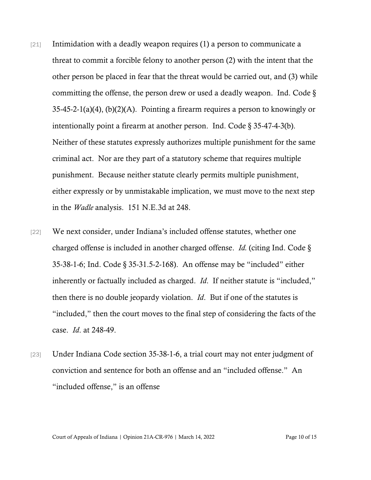- $[21]$  Intimidation with a deadly weapon requires (1) a person to communicate a threat to commit a forcible felony to another person (2) with the intent that the other person be placed in fear that the threat would be carried out, and (3) while committing the offense, the person drew or used a deadly weapon. Ind. Code § 35-45-2-1(a)(4), (b)(2)(A). Pointing a firearm requires a person to knowingly or intentionally point a firearm at another person. Ind. Code § 35-47-4-3(b). Neither of these statutes expressly authorizes multiple punishment for the same criminal act. Nor are they part of a statutory scheme that requires multiple punishment. Because neither statute clearly permits multiple punishment, either expressly or by unmistakable implication, we must move to the next step in the *Wadle* analysis. 151 N.E.3d at 248.
- [22] We next consider, under Indiana's included offense statutes, whether one charged offense is included in another charged offense. *Id.* (citing Ind. Code § 35-38-1-6; Ind. Code § 35-31.5-2-168). An offense may be "included" either inherently or factually included as charged. *Id*. If neither statute is "included," then there is no double jeopardy violation. *Id*. But if one of the statutes is "included," then the court moves to the final step of considering the facts of the case. *Id*. at 248-49.
- [23] Under Indiana Code section 35-38-1-6, a trial court may not enter judgment of conviction and sentence for both an offense and an "included offense." An "included offense," is an offense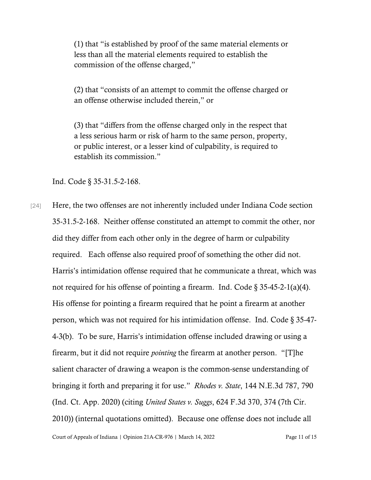(1) that "is established by proof of the same material elements or less than all the material elements required to establish the commission of the offense charged,"

(2) that "consists of an attempt to commit the offense charged or an offense otherwise included therein," or

(3) that "differs from the offense charged only in the respect that a less serious harm or risk of harm to the same person, property, or public interest, or a lesser kind of culpability, is required to establish its commission."

Ind. Code § 35-31.5-2-168.

Court of Appeals of Indiana | Opinion 21A-CR-976 | March 14, 2022 Page 11 of 15 [24] Here, the two offenses are not inherently included under Indiana Code section 35-31.5-2-168. Neither offense constituted an attempt to commit the other, nor did they differ from each other only in the degree of harm or culpability required. Each offense also required proof of something the other did not. Harris's intimidation offense required that he communicate a threat, which was not required for his offense of pointing a firearm. Ind. Code  $\S 35-45-2-1(a)(4)$ . His offense for pointing a firearm required that he point a firearm at another person, which was not required for his intimidation offense. Ind. Code § 35-47- 4-3(b). To be sure, Harris's intimidation offense included drawing or using a firearm, but it did not require *pointing* the firearm at another person. "[T]he salient character of drawing a weapon is the common-sense understanding of bringing it forth and preparing it for use." *Rhodes v. State*, 144 N.E.3d 787, 790 (Ind. Ct. App. 2020) (citing *United States v. Suggs*, 624 F.3d 370, 374 (7th Cir. 2010)) (internal quotations omitted). Because one offense does not include all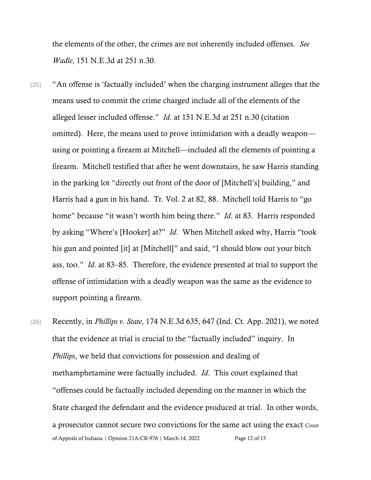the elements of the other, the crimes are not inherently included offenses. *See Wadle*, 151 N.E.3d at 251 n.30.

- [25] "An offense is 'factually included' when the charging instrument alleges that the means used to commit the crime charged include all of the elements of the alleged lesser included offense." *Id*. at 151 N.E.3d at 251 n.30 (citation omitted). Here, the means used to prove intimidation with a deadly weapon using or pointing a firearm at Mitchell—included all the elements of pointing a firearm. Mitchell testified that after he went downstairs, he saw Harris standing in the parking lot "directly out front of the door of [Mitchell's] building," and Harris had a gun in his hand. Tr. Vol. 2 at 82, 88. Mitchell told Harris to "go home" because "it wasn't worth him being there." *Id*. at 83. Harris responded by asking "Where's [Hooker] at?" *Id*. When Mitchell asked why, Harris "took his gun and pointed [it] at [Mitchell]" and said, "I should blow out your bitch ass, too." *Id*. at 83–85. Therefore, the evidence presented at trial to support the offense of intimidation with a deadly weapon was the same as the evidence to support pointing a firearm.
- [26] Recently, in *Phillips v. State*, 174 N.E.3d 635, 647 (Ind. Ct. App. 2021), we noted that the evidence at trial is crucial to the "factually included" inquiry. In *Phillips*, we held that convictions for possession and dealing of methamphetamine were factually included. *Id*. This court explained that "offenses could be factually included depending on the manner in which the State charged the defendant and the evidence produced at trial. In other words, a prosecutor cannot secure two convictions for the same act using the exact Court of Appeals of Indiana | Opinion 21A-CR-976 | March 14, 2022 Page 12 of 15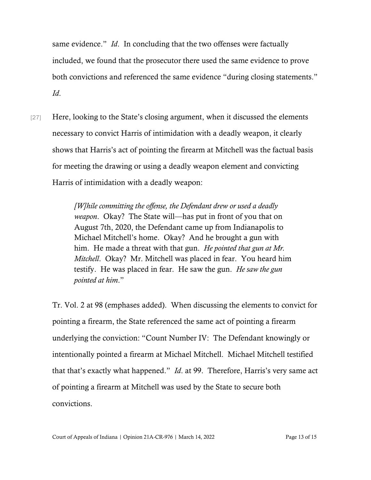same evidence." *Id*. In concluding that the two offenses were factually included, we found that the prosecutor there used the same evidence to prove both convictions and referenced the same evidence "during closing statements." *Id*.

[27] Here, looking to the State's closing argument, when it discussed the elements necessary to convict Harris of intimidation with a deadly weapon, it clearly shows that Harris's act of pointing the firearm at Mitchell was the factual basis for meeting the drawing or using a deadly weapon element and convicting Harris of intimidation with a deadly weapon:

> *[W]hile committing the offense, the Defendant drew or used a deadly weapon*. Okay? The State will—has put in front of you that on August 7th, 2020, the Defendant came up from Indianapolis to Michael Mitchell's home. Okay? And he brought a gun with him. He made a threat with that gun. *He pointed that gun at Mr. Mitchell*. Okay? Mr. Mitchell was placed in fear. You heard him testify. He was placed in fear. He saw the gun. *He saw the gun pointed at him*."

Tr. Vol. 2 at 98 (emphases added). When discussing the elements to convict for pointing a firearm, the State referenced the same act of pointing a firearm underlying the conviction: "Count Number IV: The Defendant knowingly or intentionally pointed a firearm at Michael Mitchell. Michael Mitchell testified that that's exactly what happened." *Id*. at 99. Therefore, Harris's very same act of pointing a firearm at Mitchell was used by the State to secure both convictions.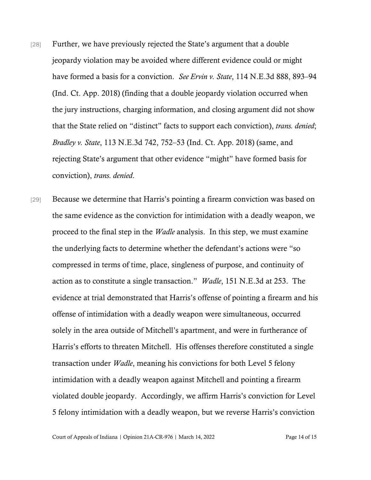- [28] Further, we have previously rejected the State's argument that a double jeopardy violation may be avoided where different evidence could or might have formed a basis for a conviction. *See Ervin v. State*, 114 N.E.3d 888, 893–94 (Ind. Ct. App. 2018) (finding that a double jeopardy violation occurred when the jury instructions, charging information, and closing argument did not show that the State relied on "distinct" facts to support each conviction), *trans. denied*; *Bradley v. State*, 113 N.E.3d 742, 752–53 (Ind. Ct. App. 2018) (same, and rejecting State's argument that other evidence "might" have formed basis for conviction), *trans. denied*.
- [29] Because we determine that Harris's pointing a firearm conviction was based on the same evidence as the conviction for intimidation with a deadly weapon, we proceed to the final step in the *Wadle* analysis. In this step, we must examine the underlying facts to determine whether the defendant's actions were "so compressed in terms of time, place, singleness of purpose, and continuity of action as to constitute a single transaction." *Wadle*, 151 N.E.3d at 253. The evidence at trial demonstrated that Harris's offense of pointing a firearm and his offense of intimidation with a deadly weapon were simultaneous, occurred solely in the area outside of Mitchell's apartment, and were in furtherance of Harris's efforts to threaten Mitchell. His offenses therefore constituted a single transaction under *Wadle*, meaning his convictions for both Level 5 felony intimidation with a deadly weapon against Mitchell and pointing a firearm violated double jeopardy. Accordingly, we affirm Harris's conviction for Level 5 felony intimidation with a deadly weapon, but we reverse Harris's conviction